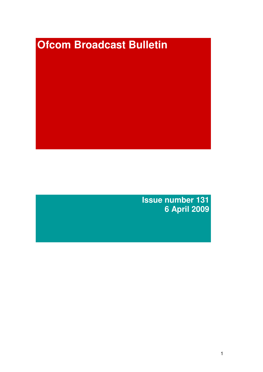# **Ofcom Broadcast Bulletin**

**Issue number 131 6 April 2009**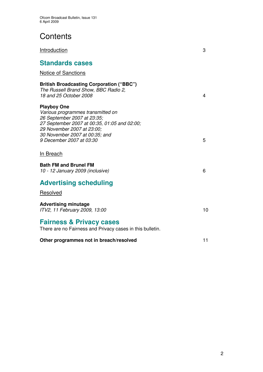**Contents** 

| Introduction                                                                                                                                                                                                                       | 3  |
|------------------------------------------------------------------------------------------------------------------------------------------------------------------------------------------------------------------------------------|----|
| <b>Standards cases</b>                                                                                                                                                                                                             |    |
| <b>Notice of Sanctions</b>                                                                                                                                                                                                         |    |
| <b>British Broadcasting Corporation ("BBC")</b><br>The Russell Brand Show, BBC Radio 2,<br>18 and 25 October 2008                                                                                                                  | 4  |
| <b>Playboy One</b><br>Various programmes transmitted on<br>26 September 2007 at 23:35;<br>27 September 2007 at 00:35, 01:05 and 02:00;<br>29 November 2007 at 23:00;<br>30 November 2007 at 00:35; and<br>9 December 2007 at 03:30 | 5  |
| In Breach                                                                                                                                                                                                                          |    |
| <b>Bath FM and Brunel FM</b><br>10 - 12 January 2009 (inclusive)                                                                                                                                                                   | 6  |
| <b>Advertising scheduling</b>                                                                                                                                                                                                      |    |
| Resolved                                                                                                                                                                                                                           |    |
| <b>Advertising minutage</b><br>ITV2, 11 February 2009, 13:00                                                                                                                                                                       | 10 |
| <b>Fairness &amp; Privacy cases</b><br>There are no Fairness and Privacy cases in this bulletin.                                                                                                                                   |    |
| Other programmes not in breach/resolved                                                                                                                                                                                            | 11 |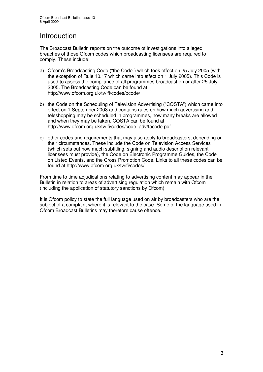# Introduction

The Broadcast Bulletin reports on the outcome of investigations into alleged breaches of those Ofcom codes which broadcasting licensees are required to comply. These include:

- a) Ofcom's Broadcasting Code ("the Code") which took effect on 25 July 2005 (with the exception of Rule 10.17 which came into effect on 1 July 2005). This Code is used to assess the compliance of all programmes broadcast on or after 25 July 2005. The Broadcasting Code can be found at http://www.ofcom.org.uk/tv/ifi/codes/bcode/
- b) the Code on the Scheduling of Television Advertising ("COSTA") which came into effect on 1 September 2008 and contains rules on how much advertising and teleshopping may be scheduled in programmes, how many breaks are allowed and when they may be taken. COSTA can be found at http://www.ofcom.org.uk/tv/ifi/codes/code\_adv/tacode.pdf.
- c) other codes and requirements that may also apply to broadcasters, depending on their circumstances. These include the Code on Television Access Services (which sets out how much subtitling, signing and audio description relevant licensees must provide), the Code on Electronic Programme Guides, the Code on Listed Events, and the Cross Promotion Code. Links to all these codes can be found at http://www.ofcom.org.uk/tv/ifi/codes/

From time to time adjudications relating to advertising content may appear in the Bulletin in relation to areas of advertising regulation which remain with Ofcom (including the application of statutory sanctions by Ofcom).

It is Ofcom policy to state the full language used on air by broadcasters who are the subject of a complaint where it is relevant to the case. Some of the language used in Ofcom Broadcast Bulletins may therefore cause offence.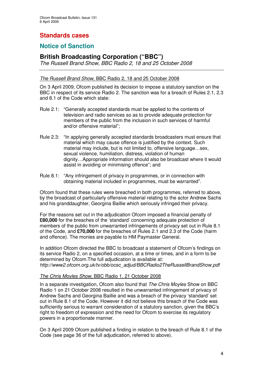# **Standards cases**

## **Notice of Sanction**

## **British Broadcasting Corporation ("BBC")**

*The Russell Brand Show, BBC Radio 2, 18 and 25 October 2008*

#### *The Russell Brand Show,* BBC Radio 2, 18 and 25 October 2008

On 3 April 2009, Ofcom published its decision to impose a statutory sanction on the BBC in respect of its service Radio 2. The sanction was for a breach of Rules 2.1, 2.3 and 8.1 of the Code which state:

- Rule 2.1: "Generally accepted standards must be applied to the contents of television and radio services so as to provide adequate protection for members of the public from the inclusion in such services of harmful and/or offensive material";
- Rule 2.3: "In applying generally accepted standards broadcasters must ensure that material which may cause offence is justified by the context. Such material may include, but is not limited to, offensive language…sex, sexual violence, humiliation, distress, violation of human dignity…Appropriate information should also be broadcast where it would assist in avoiding or minimising offence"; and
- Rule 8.1: "Any infringement of privacy in programmes, or in connection with obtaining material included in programmes, must be warranted".

Ofcom found that these rules were breached in both programmes, referred to above, by the broadcast of particularly offensive material relating to the actor Andrew Sachs and his granddaughter, Georgina Baillie which seriously infringed their privacy.

For the reasons set out in the adjudication Ofcom imposed a financial penalty of **£80,000** for the breaches of the 'standard' concerning adequate protection of members of the public from unwarranted infringements of privacy set out in Rule 8.1 of the Code, and **£70,000** for the breaches of Rules 2.1 and 2.3 of the Code (harm and offence). The monies are payable to HM Paymaster General.

In addition Ofcom directed the BBC to broadcast a statement of Ofcom's findings on its service Radio 2, on a specified occasion, at a time or times, and in a form to be determined by Ofcom.The full adjudication is available at: *http://www2.ofcom.org.uk/tv/obb/ocsc\_adjud/BBCRadio2TheRussellBrandShow.pdf*

#### *The Chris Moyles Show*, BBC Radio 1, 21 October 2008

In a separate investigation, Ofcom also found that *The Chris Moyles* Show on BBC Radio 1 on 21 October 2008 resulted in the unwarranted infringement of privacy of Andrew Sachs and Georgina Baillie and was a breach of the privacy 'standard' set out in Rule 8.1 of the Code. However it did not believe this breach of the Code was sufficiently serious to warrant consideration of a statutory sanction, given the BBC's right to freedom of expression and the need for Ofcom to exercise its regulatory powers in a proportionate manner.

On 3 April 2009 Ofcom published a finding in relation to the breach of Rule 8.1 of the Code (see page 36 of the full adjudication, referred to above).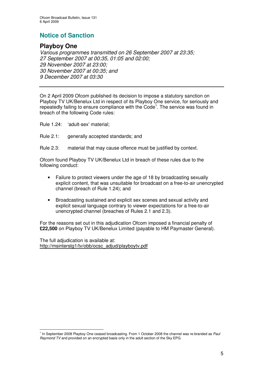# **Notice of Sanction**

## **Playboy One**

*Various programmes transmitted on 26 September 2007 at 23:35; September 2007 at 00:35, 01:05 and 02:00; November 2007 at 23:00; November 2007 at 00:35; and December 2007 at 03:30*

On 2 April 2009 Ofcom published its decision to impose a statutory sanction on Playboy TV UK/Benelux Ltd in respect of its Playboy One service, for seriously and repeatedly failing to ensure compliance with the Code<sup>1</sup>. The service was found in breach of the following Code rules:

Rule 1.24: 'adult-sex' material;

- Rule 2.1: generally accepted standards; and
- Rule 2.3: material that may cause offence must be justified by context.

Ofcom found Playboy TV UK/Benelux Ltd in breach of these rules due to the following conduct:

- Failure to protect viewers under the age of 18 by broadcasting sexually explicit content, that was unsuitable for broadcast on a free-to-air unencrypted channel (breach of Rule 1.24); and
- Broadcasting sustained and explicit sex scenes and sexual activity and explicit sexual language contrary to viewer expectations for a free-to-air unencrypted channel (breaches of Rules 2.1 and 2.3).

For the reasons set out in this adjudication Ofcom imposed a financial penalty of **£22,500** on Playboy TV UK/Benelux Limited (payable to HM Paymaster General).

The full adjudication is available at: http://msinterstg1/tv/obb/ocsc\_adjud/playboytv.pdf

<sup>&</sup>lt;sup>1</sup> In September 2008 Playboy One ceased broadcasting. From 1 October 2008 the channel was re-branded as Paul *Raymond TV* and provided on an encrypted basis only in the adult section of the Sky EPG.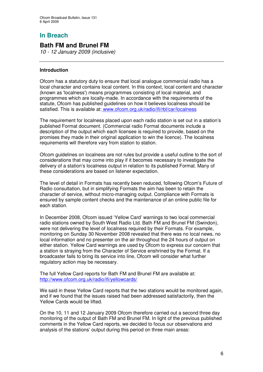# **In Breach**

## **Bath FM and Brunel FM**

*10 - 12 January 2009 (inclusive)*

#### **Introduction**

Ofcom has a statutory duty to ensure that local analogue commercial radio has a local character and contains local content. In this context, local content and character (known as 'localness') means programmes consisting of local material, and programmes which are locally-made. In accordance with the requirements of the statute, Ofcom has published guidelines on how it believes localness should be satisfied. This is available at: www.ofcom.org.uk/radio/ifi/rbl/car/localness

The requirement for localness placed upon each radio station is set out in a station's published Format document. (Commercial radio Format documents include a description of the output which each licensee is required to provide, based on the promises they made in their original application to win the licence). The localness requirements will therefore vary from station to station.

Ofcom guidelines on localness are not rules but provide a useful outline to the sort of considerations that may come into play if it becomes necessary to investigate the delivery of a station's localness output in relation to its published Format. Many of these considerations are based on listener expectation.

The level of detail in Formats has recently been reduced, following Ofcom's Future of Radio consultation, but in simplifying Formats the aim has been to retain the character of service, without micro-managing output. Compliance with Formats is ensured by sample content checks and the maintenance of an online public file for each station.

In December 2008, Ofcom issued 'Yellow Card' warnings to two local commercial radio stations owned by South West Radio Ltd. Bath FM and Brunel FM (Swindon), were not delivering the level of localness required by their Formats. For example, monitoring on Sunday 30 November 2008 revealed that there was no local news, no local information and no presenter on the air throughout the 24 hours of output on either station. Yellow Card warnings are used by Ofcom to express our concern that a station is straying from the Character of Service enshrined by the Format. If a broadcaster fails to bring its service into line, Ofcom will consider what further regulatory action may be necessary.

The full Yellow Card reports for Bath FM and Brunel FM are available at: http://www.ofcom.org.uk/radio/ifi/yellowcards/

We said in these Yellow Card reports that the two stations would be monitored again, and if we found that the issues raised had been addressed satisfactorily, then the Yellow Cards would be lifted.

On the 10, 11 and 12 January 2009 Ofcom therefore carried out a second three day monitoring of the output of Bath FM and Brunel FM. In light of the previous published comments in the Yellow Card reports, we decided to focus our observations and analysis of the stations' output during this period on three main areas: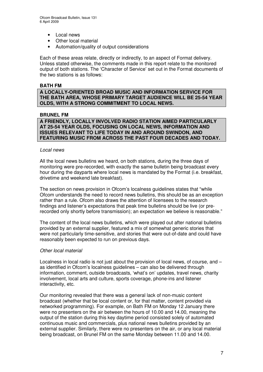- Local news
- Other local material
- Automation/quality of output considerations

Each of these areas relate, directly or indirectly, to an aspect of Format delivery. Unless stated otherwise, the comments made in this report relate to the monitored output of both stations. The 'Character of Service' set out in the Format documents of the two stations is as follows:

#### **BATH FM**

**A LOCALLY-ORIENTED BROAD MUSIC AND INFORMATION SERVICE FOR THE BATH AREA, WHOSE PRIMARY TARGET AUDIENCE WILL BE 25-54 YEAR OLDS, WITH A STRONG COMMITMENT TO LOCAL NEWS.**

#### **BRUNEL FM**

**A FRIENDLY, LOCALLY INVOLVED RADIO STATION AIMED PARTICULARLY AT 25-54 YEAR OLDS, FOCUSING ON LOCAL NEWS, INFORMATION AND ISSUES RELEVANT TO LIFE TODAY IN AND AROUND SWINDON, AND FEATURING MUSIC FROM ACROSS THE PAST FOUR DECADES AND TODAY.**

#### *Local news*

All the local news bulletins we heard, on both stations, during the three days of monitoring were pre-recorded, with exactly the same bulletin being broadcast every hour during the dayparts where local news is mandated by the Format (i.e. breakfast, drivetime and weekend late breakfast).

The section on news provision in Ofcom's localness guidelines states that "while Ofcom understands the need to record news bulletins, this should be as an exception rather than a rule. Ofcom also draws the attention of licensees to the research findings and listener's expectations that peak time bulletins should be live (or prerecorded only shortly before transmission); an expectation we believe is reasonable."

The content of the local news bulletins, which were played out after national bulletins provided by an external supplier, featured a mix of somewhat generic stories that were not particularly time-sensitive, and stories that were out-of-date and could have reasonably been expected to run on previous days.

#### *Other local material*

Localness in local radio is not just about the provision of local news, of course, and  $$ as identified in Ofcom's localness guidelines – can also be delivered through information, comment, outside broadcasts, 'what's on' updates, travel news, charity involvement, local arts and culture, sports coverage, phone-ins and listener interactivity, etc.

Our monitoring revealed that there was a general lack of non-music content broadcast (whether that be local content or, for that matter, content provided via networked programming). For example, on Bath FM on Monday 12 January there were no presenters on the air between the hours of 10.00 and 14.00, meaning the output of the station during this key daytime period consisted solely of automated continuous music and commercials, plus national news bulletins provided by an external supplier. Similarly, there were no presenters on the air, or any local material being broadcast, on Brunel FM on the same Monday between 11.00 and 14.00.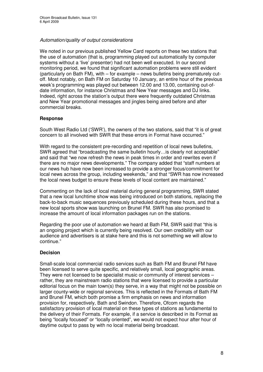#### *Automation/quality of output considerations*

We noted in our previous published Yellow Card reports on these two stations that the use of automation (that is, programming played out automatically by computer systems without a 'live' presenter) had not been well executed. In our second monitoring period, we found that significant automation problems were still evident (particularly on Bath FM), with – for example – news bulletins being prematurely cutoff. Most notably, on Bath FM on Saturday 10 January, an entire hour of the previous week's programming was played out between 12.00 and 13.00, containing out-ofdate information, for instance Christmas and New Year messages and DJ links. Indeed, right across the station's output there were frequently outdated Christmas and New Year promotional messages and jingles being aired before and after commercial breaks.

#### **Response**

South West Radio Ltd ('SWR'), the owners of the two stations, said that "it is of great concern to all involved with SWR that these errors in Format have occurred."

With regard to the consistent pre-recording and repetition of local news bulletins, SWR agreed that "broadcasting the same bulletin hourly…is clearly not acceptable" and said that "we now refresh the news in peak times in order and rewrites even if there are no major news developments." The company added that "staff numbers at our news hub have now been increased to provide a stronger focus/commitment for local news across the group, including weekends," and that "SWR has now increased the local news budget to ensure these levels of local content are maintained."

Commenting on the lack of local material during general programming, SWR stated that a new local lunchtime show was being introduced on both stations, replacing the back-to-back music sequences previously scheduled during these hours, and that a new local sports show was launching on Brunel FM. SWR has also promised to increase the amount of local information packages run on the stations.

Regarding the poor use of automation we heard at Bath FM, SWR said that "this is an ongoing project which is currently being resolved. Our own credibility with our audience and advertisers is at stake here and this is not something we will allow to continue."

#### **Decision**

Small-scale local commercial radio services such as Bath FM and Brunel FM have been licensed to serve quite specific, and relatively small, local geographic areas. They were not licensed to be specialist music or community of interest services – rather, they are mainstream radio stations that were licensed to provide a particular editorial focus on the main town(s) they serve, in a way that might not be possible on larger county-wide or regional services. This is reflected in the Formats of Bath FM and Brunel FM, which both promise a firm emphasis on news and information provision for, respectively, Bath and Swindon. Therefore, Ofcom regards the satisfactory provision of local material on these types of stations as fundamental to the delivery of their Formats. For example, if a service is described in its Format as being "locally focused" or "locally oriented", we would not expect hour after hour of daytime output to pass by with no local material being broadcast.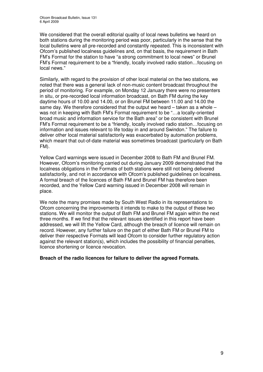We considered that the overall editorial quality of local news bulletins we heard on both stations during the monitoring period was poor, particularly in the sense that the local bulletins were all pre-recorded and constantly repeated. This is inconsistent with Ofcom's published localness guidelines and, on that basis, the requirement in Bath FM's Format for the station to have "a strong commitment to local news" or Brunel FM's Format requirement to be a "friendly, locally involved radio station…focusing on local news."

Similarly, with regard to the provision of other local material on the two stations, we noted that there was a general lack of non-music content broadcast throughout the period of monitoring. For example, on Monday 12 January there were no presenters in situ, or pre-recorded local information broadcast, on Bath FM during the key daytime hours of 10.00 and 14.00, or on Brunel FM between 11.00 and 14.00 the same day. We therefore considered that the output we heard – taken as a whole – was not in keeping with Bath FM's Format requirement to be "…a locally-oriented broad music and information service for the Bath area" or be consistent with Brunel FM's Format requirement to be a "friendly, locally involved radio station…focusing on information and issues relevant to life today in and around Swindon." The failure to deliver other local material satisfactorily was exacerbated by automation problems, which meant that out-of-date material was sometimes broadcast (particularly on Bath FM).

Yellow Card warnings were issued in December 2008 to Bath FM and Brunel FM. However, Ofcom's monitoring carried out during January 2009 demonstrated that the localness obligations in the Formats of both stations were still not being delivered satisfactorily, and not in accordance with Ofcom's published guidelines on localness. A formal breach of the licences of Bath FM and Brunel FM has therefore been recorded, and the Yellow Card warning issued in December 2008 will remain in place.

We note the many promises made by South West Radio in its representations to Ofcom concerning the improvements it intends to make to the output of these two stations. We will monitor the output of Bath FM and Brunel FM again within the next three months. If we find that the relevant issues identified in this report have been addressed, we will lift the Yellow Card, although the breach of licence will remain on record. However, any further failure on the part of either Bath FM or Brunel FM to deliver their respective Formats will lead Ofcom to consider further regulatory action against the relevant station(s), which includes the possibility of financial penalties, licence shortening or licence revocation.

**Breach of the radio licences for failure to deliver the agreed Formats.**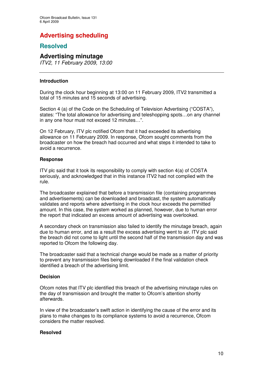# **Advertising scheduling**

## **Resolved**

### **Advertising minutage**

*ITV2, 11 February 2009, 13:00*

#### **Introduction**

During the clock hour beginning at 13:00 on 11 February 2009, ITV2 transmitted a total of 15 minutes and 15 seconds of advertising.

Section 4 (a) of the Code on the Scheduling of Television Advertising ("COSTA"), states: "The total allowance for advertising and teleshopping spots…on any channel in any one hour must not exceed 12 minutes…".

On 12 February, ITV plc notified Ofcom that it had exceeded its advertising allowance on 11 February 2009. In response, Ofcom sought comments from the broadcaster on how the breach had occurred and what steps it intended to take to avoid a recurrence.

#### **Response**

ITV plc said that it took its responsibility to comply with section 4(a) of COSTA seriously, and acknowledged that in this instance ITV2 had not complied with the rule.

The broadcaster explained that before a transmission file (containing programmes and advertisements) can be downloaded and broadcast, the system automatically validates and reports where advertising in the clock hour exceeds the permitted amount. In this case, the system worked as planned, however, due to human error the report that indicated an excess amount of advertising was overlooked.

A secondary check on transmission also failed to identify the minutage breach, again due to human error, and as a result the excess advertising went to air. ITV plc said the breach did not come to light until the second half of the transmission day and was reported to Ofcom the following day.

The broadcaster said that a technical change would be made as a matter of priority to prevent any transmission files being downloaded if the final validation check identified a breach of the advertising limit.

#### **Decision**

Ofcom notes that ITV plc identified this breach of the advertising minutage rules on the day of transmission and brought the matter to Ofcom's attention shortly afterwards.

In view of the broadcaster's swift action in identifying the cause of the error and its plans to make changes to its compliance systems to avoid a recurrence, Ofcom considers the matter resolved.

#### **Resolved**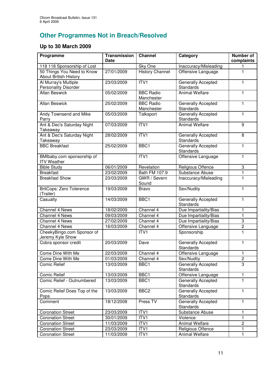# **Other Programmes Not in Breach/Resolved**

## **Up to 30 March 2009**

| Programme                                                  | <b>Transmission</b><br><b>Date</b> | <b>Channel</b>                 | Category                                      | <b>Number of</b><br>complaints |
|------------------------------------------------------------|------------------------------------|--------------------------------|-----------------------------------------------|--------------------------------|
| 118 118 Sponsorship of Lost                                |                                    | Sky One                        | Inaccuracy/Misleading                         |                                |
| 50 Things You Need to Know<br><b>About British History</b> | 27/01/2009                         | <b>History Channel</b>         | Offensive Language                            | 1                              |
| Al Murray's Multiple<br><b>Personality Disorder</b>        | 23/03/2009                         | ITVI                           | Generally Accepted<br>Standards               | 1                              |
| <b>Allan Beswick</b>                                       | 05/02/2009                         | <b>BBC Radio</b><br>Manchester | <b>Animal Welfare</b>                         | 1                              |
| <b>Allan Beswick</b>                                       | 25/02/2009                         | <b>BBC Radio</b><br>Manchester | <b>Generally Accepted</b><br><b>Standards</b> | 1                              |
| Andy Townsend and Mike<br>Parry                            | 05/03/2009                         | Talksport                      | <b>Generally Accepted</b><br><b>Standards</b> | 1                              |
| Ant & Dec's Saturday Night<br>Takeaway                     | 07/03/2009                         | ITVI                           | <b>Animal Welfare</b>                         | 9                              |
| Ant & Dec's Saturday Night<br>Takeaway                     | 28/02/2009                         | ITVI                           | <b>Generally Accepted</b><br><b>Standards</b> | 8                              |
| <b>BBC Breakfast</b>                                       | 25/02/2009                         | BBC1                           | Generally Accepted<br>Standards               | $\mathbf{1}$                   |
| BMIbaby.com sponsorship of<br><b>ITV Weather</b>           |                                    | ITV1                           | Offensive Language                            | $\mathbf{1}$                   |
| <b>Bible Study</b>                                         | 06/01/2009                         | Revelation                     | Religious Offence                             | 3                              |
| <b>Breakfast</b>                                           | 23/02/2009                         | Bath FM 107.9                  | Substance Abuse                               | 1                              |
| <b>Breakfast Show</b>                                      | 23/03/2009                         | GWR / Severn<br>Sound          | Inaccuracy/Misleading                         | 1                              |
| <b>BritCops: Zero Tolerence</b><br>(Trailer)               | 19/03/2009                         | <b>Bravo</b>                   | Sex/Nudity                                    | 1                              |
| Casualty                                                   | 14/03/2009                         | BBC1                           | Generally Accepted<br><b>Standards</b>        | 1                              |
| Channel 4 News                                             | 18/02/2009                         | Channel 4                      | Due Impartiality/Bias                         | 1                              |
| Channel 4 News                                             | 09/03/2009                         | Channel 4                      | Due Impartiality/Bias                         | 1                              |
| Channel 4 News                                             | 27/02/2009                         | Channel 4                      | Due Impartiality/Bias                         | 3                              |
| Channel 4 News                                             | 16/03/2009                         | Channel 4                      | Offensive Language                            | $\overline{2}$                 |
| CheekyBingo.com Sponsor of<br>Jeremy Kyle Show             |                                    | ITV1                           | Sponsorship                                   | 1                              |
| Cobra sponsor credit                                       | 20/03/2009                         | Dave                           | Generally Accepted<br>Standards               | 1                              |
| Come Dine With Me                                          | 22/03/2009                         | Channel 4                      | Offensive Language                            | 1                              |
| Come Dine With Me                                          | 01/03/2009                         | Channel 4                      | Sex/Nudity                                    | $\overline{\mathbf{c}}$        |
| Comic Relief                                               | 13/03/2009                         | BBC1                           | Generally Accepted<br>Standards               | $\overline{3}$                 |
| <b>Comic Relief</b>                                        | 13/03/2009                         | BBC1                           | Offensive Language                            | $\mathbf{1}$                   |
| Comic Relief - Outnumbered                                 | 13/03/2009                         | BBC1                           | <b>Generally Accepted</b><br><b>Standards</b> | $\mathbf{1}$                   |
| Comic Relief Does Top of the<br>Pops                       | 13/03/2009                         | BBC <sub>2</sub>               | <b>Generally Accepted</b><br>Standards        | 1                              |
| Comment                                                    | 18/12/2008                         | Press TV                       | Generally Accepted<br><b>Standards</b>        | 1                              |
| <b>Coronation Street</b>                                   | 23/03/2009                         | ITV1                           | Substance Abuse                               | 1                              |
| <b>Coronation Street</b>                                   | 30/01/2009                         | ITV1                           | Violence                                      | 1                              |
| <b>Coronation Street</b>                                   | 11/03/2009                         | ITV1                           | Animal Welfare                                | $\overline{c}$                 |
| <b>Coronation Street</b>                                   | 23/03/2009                         | ITV1                           | Religious Offence                             | 1                              |
| <b>Coronation Street</b>                                   | 11/03/2009                         | ITV1                           | Animal Welfare                                | $\mathbf{1}$                   |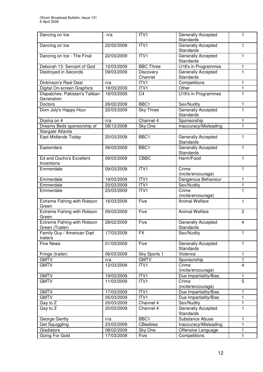| Dancing on Ice                                        | n/a        | ITV1                 | Generally Accepted<br><b>Standards</b>        | 1                       |
|-------------------------------------------------------|------------|----------------------|-----------------------------------------------|-------------------------|
| Dancing on Ice                                        | 22/02/2009 | ITV1                 | <b>Generally Accepted</b><br><b>Standards</b> | 1                       |
| Dancing on Ice - The Final                            | 22/03/2009 | ITV1                 | <b>Generally Accepted</b><br><b>Standards</b> | 1                       |
| Deborah 13: Servant of God                            | 10/03/2009 | <b>BBC Three</b>     | U18's in Programmes                           | 1                       |
| Destroyed in Seconds                                  | 09/03/2009 | Discovery<br>Channel | Generally Accepted<br><b>Standards</b>        | 1                       |
| Dickinson's Real Deal                                 | n/a        | ITV1                 | Competitions                                  | 1                       |
| Digital On-screen Graphics                            | 18/03/2009 | ITV1                 | Other                                         | 1                       |
| Dispatches: Pakistan's Taliban<br>Generation          | 16/03/2009 | C <sub>4</sub>       | <b>U18's in Programmes</b>                    | 1                       |
| <b>Doctors</b>                                        | 26/02/2009 | BBC1                 | Sex/Nudity                                    | 1                       |
| Dom Joly's Happy Hour                                 | 22/03/2009 | <b>Sky Three</b>     | Generally Accepted<br>Standards               | 1                       |
| Drama on 4                                            | n/a        | Channel 4            | Sponsorship                                   | 1                       |
| Dreams Beds sponsorship of                            | 08/12/2008 | Sky One              | Inaccuracy/Misleading                         | 1                       |
| <b>Stargate Atlantis</b>                              |            |                      |                                               |                         |
| <b>East Midlands Today</b>                            | 20/03/2009 | BBC1                 | <b>Generally Accepted</b><br><b>Standards</b> | 1                       |
| Eastenders                                            | 06/03/2009 | BBC1                 | Generally Accepted<br><b>Standards</b>        | 1                       |
| Ed and Oucho's Excellent<br>Inventions                | 09/03/2009 | <b>CBBC</b>          | Harm/Food                                     | 1                       |
| Emmerdale                                             | 09/03/2009 | ITV1                 | Crime<br>(incite/encourage)                   | 1                       |
| Emmerdale                                             | 19/03/2009 | ITV1                 | Dangerous Behaviour                           | 1                       |
| Emmerdale                                             | 20/03/2009 | ITV <sub>1</sub>     | Sex/Nudity                                    | 1                       |
| Emmerdale                                             | 23/03/2009 | ITV1                 | Crime<br>(incite/encourage)                   | $\mathbf{1}$            |
| <b>Extreme Fishing with Robson</b><br>Green           | 16/03/2009 | Five                 | <b>Animal Welfare</b>                         | $\mathbf{1}$            |
| <b>Extreme Fishing with Robson</b><br>Green           | 09/03/2009 | Five                 | <b>Animal Welfare</b>                         | $\overline{2}$          |
| <b>Extreme Fishing with Robson</b><br>Green (Trailer) | 28/02/2009 | Five                 | Generally Accepted<br><b>Standards</b>        | $\overline{\mathbf{4}}$ |
| Family Guy / American Dad<br>trailers                 | 17/03/2009 | <b>FX</b>            | Sex/Nudity                                    | 1                       |
| <b>Five News</b>                                      | 01/03/2009 | Five                 | <b>Generally Accepted</b><br>Standards        | $\mathbf{1}$            |
| Fringe (trailer)                                      | 06/03/2009 | Sky Sports 1         | Violence                                      | $\mathbf{1}$            |
| <b>GMTV</b>                                           | n/a        | <b>GMTV</b>          | Sponsorship                                   | $\mathbf{1}$            |
| <b>GMTV</b>                                           | 12/03/2009 | ITVI                 | Crime<br>(incite/encourage)                   | $\overline{\mathbf{4}}$ |
| <b>GMTV</b>                                           | 19/03/2009 | ITV1                 | Due Impartiality/Bias                         | 1                       |
| <b>GMTV</b>                                           | 11/03/2009 | ITV1                 | Crime<br>(incite/encourage)                   | $\overline{5}$          |
| <b>GMTV</b>                                           | 17/03/2009 | ITV1                 | Due Impartiality/Bias                         | 1                       |
| <b>GMTV</b>                                           | 05/03/2009 | ITV <sub>1</sub>     | Due Impartiality/Bias                         | $\mathbf{1}$            |
| Gay to Z                                              | 20/03/2009 | Channel 4            | Sex/Nudity                                    | 1                       |
| Gay to Z                                              | 20/03/2009 | Channel 4            | <b>Generally Accepted</b><br><b>Standards</b> | $\mathbf{1}$            |
| George Gently                                         | n/a        | BBC1                 | Substance Abuse                               | 1                       |
| Get Squiggling                                        | 23/03/2009 | <b>CBeebies</b>      | Inaccuracy/Misleading                         | $\mathbf{1}$            |
| Gladiators                                            | 08/02/2009 | Sky One              | Offensive Language                            | $\mathbf{1}$            |
| Going For Gold                                        | 17/03/2009 | Five                 | Competitions                                  | $\mathbf{1}$            |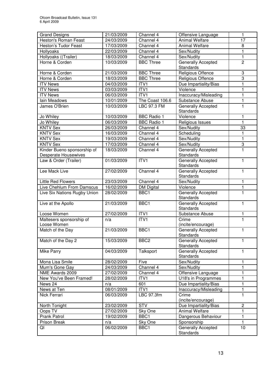| Heston's Roman Feast<br>24/03/2009<br>Channel 4<br><b>Animal Welfare</b><br>17<br>Channel 4<br><b>Heston's Tudor Feast</b><br>17/03/2009<br><b>Animal Welfare</b><br>8<br>Hollyoaks<br>22/03/2009<br>Channel 4<br>1<br>Sex/Nudity<br>Hollyoaks ((Trailer)<br>$\mathbf{1}$<br>18/03/2009<br>Channel 4<br>Sex/Nudity<br><b>Generally Accepted</b><br>$\overline{c}$<br>Horne & Corden<br><b>BBC Three</b><br>10/03/2009<br><b>Standards</b><br>3<br><b>BBC Three</b><br>Horne & Corden<br>21/03/2009<br>Religious Offence<br><b>BBC Three</b><br>Religious Offence<br>3<br>Horne & Corden<br>18/03/2009<br>ITV1<br>Due Impartiality/Bias<br><b>ITV News</b><br>04/03/2009<br>1<br>ITV1<br><b>ITV News</b><br>03/03/2009<br>Violence<br>$\mathbf{1}$<br>ITVI<br><b>ITV News</b><br>Inaccuracy/Misleading<br>$\mathbf{1}$<br>06/03/2009<br>$\mathbf{1}$<br>Iain Meadows<br>10/01/2009<br>The Coast 106.6<br>Substance Abuse<br>10/03/2009<br>LBC 97.3 FM<br>Generally Accepted<br>1<br>James O'Brien<br><b>Standards</b><br>Violence<br>Jo Whiley<br>10/03/2009<br><b>BBC Radio 1</b><br>1<br>Jo Whiley<br>06/03/2009<br><b>BBC Radio 1</b><br>Religious Issues<br>1<br><b>KNTV Sex</b><br>26/03/2009<br>Channel 4<br>Sex/Nudity<br>33<br>Channel 4<br><b>KNTV Sex</b><br>Scheduling<br>16/03/2009<br>1<br>Sex/Nudity<br>$\mathbf{1}$<br><b>KNTV Sex</b><br>19/03/2009<br>Channel 4<br><b>KNTV Sex</b><br>17/03/2009<br>Channel 4<br>Sex/Nudity<br>3<br>Kinder Bueno sponsorship of<br>Channel 4<br><b>Generally Accepted</b><br>1<br>18/03/2009<br><b>Desperate Housewives</b><br><b>Standards</b><br>ITVI<br>Law & Order (Trailer)<br>01/03/2009<br>Generally Accepted<br>1<br>Standards<br>Lee Mack Live<br>Channel 4<br>Generally Accepted<br>27/02/2009<br>1<br><b>Standards</b><br><b>Little Red Flowers</b><br>Channel 4<br>Sex/Nudity<br>23/03/2009<br>1<br>Live Chehlum From Damscus<br>16/02/2009<br>Violence<br><b>DM Digital</b><br>1<br>Live Six Nations Rugby Union<br>BBC1<br><b>Generally Accepted</b><br>28/02/2009<br>1<br><b>Standards</b><br>Live at the Apollo<br>BBC1<br>Generally Accepted<br>21/03/2009<br>1<br><b>Standards</b><br>Loose Women<br>ITV1<br>Substance Abuse<br>$\mathbf{1}$<br>27/02/2009 |
|------------------------------------------------------------------------------------------------------------------------------------------------------------------------------------------------------------------------------------------------------------------------------------------------------------------------------------------------------------------------------------------------------------------------------------------------------------------------------------------------------------------------------------------------------------------------------------------------------------------------------------------------------------------------------------------------------------------------------------------------------------------------------------------------------------------------------------------------------------------------------------------------------------------------------------------------------------------------------------------------------------------------------------------------------------------------------------------------------------------------------------------------------------------------------------------------------------------------------------------------------------------------------------------------------------------------------------------------------------------------------------------------------------------------------------------------------------------------------------------------------------------------------------------------------------------------------------------------------------------------------------------------------------------------------------------------------------------------------------------------------------------------------------------------------------------------------------------------------------------------------------------------------------------------------------------------------------------------------------------------------------------------------------------------------------------------------------------------------------------------------------------------------------------------------------------------------------------------------|
|                                                                                                                                                                                                                                                                                                                                                                                                                                                                                                                                                                                                                                                                                                                                                                                                                                                                                                                                                                                                                                                                                                                                                                                                                                                                                                                                                                                                                                                                                                                                                                                                                                                                                                                                                                                                                                                                                                                                                                                                                                                                                                                                                                                                                              |
|                                                                                                                                                                                                                                                                                                                                                                                                                                                                                                                                                                                                                                                                                                                                                                                                                                                                                                                                                                                                                                                                                                                                                                                                                                                                                                                                                                                                                                                                                                                                                                                                                                                                                                                                                                                                                                                                                                                                                                                                                                                                                                                                                                                                                              |
|                                                                                                                                                                                                                                                                                                                                                                                                                                                                                                                                                                                                                                                                                                                                                                                                                                                                                                                                                                                                                                                                                                                                                                                                                                                                                                                                                                                                                                                                                                                                                                                                                                                                                                                                                                                                                                                                                                                                                                                                                                                                                                                                                                                                                              |
|                                                                                                                                                                                                                                                                                                                                                                                                                                                                                                                                                                                                                                                                                                                                                                                                                                                                                                                                                                                                                                                                                                                                                                                                                                                                                                                                                                                                                                                                                                                                                                                                                                                                                                                                                                                                                                                                                                                                                                                                                                                                                                                                                                                                                              |
|                                                                                                                                                                                                                                                                                                                                                                                                                                                                                                                                                                                                                                                                                                                                                                                                                                                                                                                                                                                                                                                                                                                                                                                                                                                                                                                                                                                                                                                                                                                                                                                                                                                                                                                                                                                                                                                                                                                                                                                                                                                                                                                                                                                                                              |
|                                                                                                                                                                                                                                                                                                                                                                                                                                                                                                                                                                                                                                                                                                                                                                                                                                                                                                                                                                                                                                                                                                                                                                                                                                                                                                                                                                                                                                                                                                                                                                                                                                                                                                                                                                                                                                                                                                                                                                                                                                                                                                                                                                                                                              |
|                                                                                                                                                                                                                                                                                                                                                                                                                                                                                                                                                                                                                                                                                                                                                                                                                                                                                                                                                                                                                                                                                                                                                                                                                                                                                                                                                                                                                                                                                                                                                                                                                                                                                                                                                                                                                                                                                                                                                                                                                                                                                                                                                                                                                              |
|                                                                                                                                                                                                                                                                                                                                                                                                                                                                                                                                                                                                                                                                                                                                                                                                                                                                                                                                                                                                                                                                                                                                                                                                                                                                                                                                                                                                                                                                                                                                                                                                                                                                                                                                                                                                                                                                                                                                                                                                                                                                                                                                                                                                                              |
|                                                                                                                                                                                                                                                                                                                                                                                                                                                                                                                                                                                                                                                                                                                                                                                                                                                                                                                                                                                                                                                                                                                                                                                                                                                                                                                                                                                                                                                                                                                                                                                                                                                                                                                                                                                                                                                                                                                                                                                                                                                                                                                                                                                                                              |
|                                                                                                                                                                                                                                                                                                                                                                                                                                                                                                                                                                                                                                                                                                                                                                                                                                                                                                                                                                                                                                                                                                                                                                                                                                                                                                                                                                                                                                                                                                                                                                                                                                                                                                                                                                                                                                                                                                                                                                                                                                                                                                                                                                                                                              |
|                                                                                                                                                                                                                                                                                                                                                                                                                                                                                                                                                                                                                                                                                                                                                                                                                                                                                                                                                                                                                                                                                                                                                                                                                                                                                                                                                                                                                                                                                                                                                                                                                                                                                                                                                                                                                                                                                                                                                                                                                                                                                                                                                                                                                              |
|                                                                                                                                                                                                                                                                                                                                                                                                                                                                                                                                                                                                                                                                                                                                                                                                                                                                                                                                                                                                                                                                                                                                                                                                                                                                                                                                                                                                                                                                                                                                                                                                                                                                                                                                                                                                                                                                                                                                                                                                                                                                                                                                                                                                                              |
|                                                                                                                                                                                                                                                                                                                                                                                                                                                                                                                                                                                                                                                                                                                                                                                                                                                                                                                                                                                                                                                                                                                                                                                                                                                                                                                                                                                                                                                                                                                                                                                                                                                                                                                                                                                                                                                                                                                                                                                                                                                                                                                                                                                                                              |
|                                                                                                                                                                                                                                                                                                                                                                                                                                                                                                                                                                                                                                                                                                                                                                                                                                                                                                                                                                                                                                                                                                                                                                                                                                                                                                                                                                                                                                                                                                                                                                                                                                                                                                                                                                                                                                                                                                                                                                                                                                                                                                                                                                                                                              |
|                                                                                                                                                                                                                                                                                                                                                                                                                                                                                                                                                                                                                                                                                                                                                                                                                                                                                                                                                                                                                                                                                                                                                                                                                                                                                                                                                                                                                                                                                                                                                                                                                                                                                                                                                                                                                                                                                                                                                                                                                                                                                                                                                                                                                              |
|                                                                                                                                                                                                                                                                                                                                                                                                                                                                                                                                                                                                                                                                                                                                                                                                                                                                                                                                                                                                                                                                                                                                                                                                                                                                                                                                                                                                                                                                                                                                                                                                                                                                                                                                                                                                                                                                                                                                                                                                                                                                                                                                                                                                                              |
|                                                                                                                                                                                                                                                                                                                                                                                                                                                                                                                                                                                                                                                                                                                                                                                                                                                                                                                                                                                                                                                                                                                                                                                                                                                                                                                                                                                                                                                                                                                                                                                                                                                                                                                                                                                                                                                                                                                                                                                                                                                                                                                                                                                                                              |
|                                                                                                                                                                                                                                                                                                                                                                                                                                                                                                                                                                                                                                                                                                                                                                                                                                                                                                                                                                                                                                                                                                                                                                                                                                                                                                                                                                                                                                                                                                                                                                                                                                                                                                                                                                                                                                                                                                                                                                                                                                                                                                                                                                                                                              |
|                                                                                                                                                                                                                                                                                                                                                                                                                                                                                                                                                                                                                                                                                                                                                                                                                                                                                                                                                                                                                                                                                                                                                                                                                                                                                                                                                                                                                                                                                                                                                                                                                                                                                                                                                                                                                                                                                                                                                                                                                                                                                                                                                                                                                              |
|                                                                                                                                                                                                                                                                                                                                                                                                                                                                                                                                                                                                                                                                                                                                                                                                                                                                                                                                                                                                                                                                                                                                                                                                                                                                                                                                                                                                                                                                                                                                                                                                                                                                                                                                                                                                                                                                                                                                                                                                                                                                                                                                                                                                                              |
|                                                                                                                                                                                                                                                                                                                                                                                                                                                                                                                                                                                                                                                                                                                                                                                                                                                                                                                                                                                                                                                                                                                                                                                                                                                                                                                                                                                                                                                                                                                                                                                                                                                                                                                                                                                                                                                                                                                                                                                                                                                                                                                                                                                                                              |
|                                                                                                                                                                                                                                                                                                                                                                                                                                                                                                                                                                                                                                                                                                                                                                                                                                                                                                                                                                                                                                                                                                                                                                                                                                                                                                                                                                                                                                                                                                                                                                                                                                                                                                                                                                                                                                                                                                                                                                                                                                                                                                                                                                                                                              |
|                                                                                                                                                                                                                                                                                                                                                                                                                                                                                                                                                                                                                                                                                                                                                                                                                                                                                                                                                                                                                                                                                                                                                                                                                                                                                                                                                                                                                                                                                                                                                                                                                                                                                                                                                                                                                                                                                                                                                                                                                                                                                                                                                                                                                              |
|                                                                                                                                                                                                                                                                                                                                                                                                                                                                                                                                                                                                                                                                                                                                                                                                                                                                                                                                                                                                                                                                                                                                                                                                                                                                                                                                                                                                                                                                                                                                                                                                                                                                                                                                                                                                                                                                                                                                                                                                                                                                                                                                                                                                                              |
|                                                                                                                                                                                                                                                                                                                                                                                                                                                                                                                                                                                                                                                                                                                                                                                                                                                                                                                                                                                                                                                                                                                                                                                                                                                                                                                                                                                                                                                                                                                                                                                                                                                                                                                                                                                                                                                                                                                                                                                                                                                                                                                                                                                                                              |
|                                                                                                                                                                                                                                                                                                                                                                                                                                                                                                                                                                                                                                                                                                                                                                                                                                                                                                                                                                                                                                                                                                                                                                                                                                                                                                                                                                                                                                                                                                                                                                                                                                                                                                                                                                                                                                                                                                                                                                                                                                                                                                                                                                                                                              |
|                                                                                                                                                                                                                                                                                                                                                                                                                                                                                                                                                                                                                                                                                                                                                                                                                                                                                                                                                                                                                                                                                                                                                                                                                                                                                                                                                                                                                                                                                                                                                                                                                                                                                                                                                                                                                                                                                                                                                                                                                                                                                                                                                                                                                              |
|                                                                                                                                                                                                                                                                                                                                                                                                                                                                                                                                                                                                                                                                                                                                                                                                                                                                                                                                                                                                                                                                                                                                                                                                                                                                                                                                                                                                                                                                                                                                                                                                                                                                                                                                                                                                                                                                                                                                                                                                                                                                                                                                                                                                                              |
|                                                                                                                                                                                                                                                                                                                                                                                                                                                                                                                                                                                                                                                                                                                                                                                                                                                                                                                                                                                                                                                                                                                                                                                                                                                                                                                                                                                                                                                                                                                                                                                                                                                                                                                                                                                                                                                                                                                                                                                                                                                                                                                                                                                                                              |
|                                                                                                                                                                                                                                                                                                                                                                                                                                                                                                                                                                                                                                                                                                                                                                                                                                                                                                                                                                                                                                                                                                                                                                                                                                                                                                                                                                                                                                                                                                                                                                                                                                                                                                                                                                                                                                                                                                                                                                                                                                                                                                                                                                                                                              |
|                                                                                                                                                                                                                                                                                                                                                                                                                                                                                                                                                                                                                                                                                                                                                                                                                                                                                                                                                                                                                                                                                                                                                                                                                                                                                                                                                                                                                                                                                                                                                                                                                                                                                                                                                                                                                                                                                                                                                                                                                                                                                                                                                                                                                              |
|                                                                                                                                                                                                                                                                                                                                                                                                                                                                                                                                                                                                                                                                                                                                                                                                                                                                                                                                                                                                                                                                                                                                                                                                                                                                                                                                                                                                                                                                                                                                                                                                                                                                                                                                                                                                                                                                                                                                                                                                                                                                                                                                                                                                                              |
|                                                                                                                                                                                                                                                                                                                                                                                                                                                                                                                                                                                                                                                                                                                                                                                                                                                                                                                                                                                                                                                                                                                                                                                                                                                                                                                                                                                                                                                                                                                                                                                                                                                                                                                                                                                                                                                                                                                                                                                                                                                                                                                                                                                                                              |
| ITVI<br>Maltesers sponsorship of<br>Crime<br>1<br>n/a                                                                                                                                                                                                                                                                                                                                                                                                                                                                                                                                                                                                                                                                                                                                                                                                                                                                                                                                                                                                                                                                                                                                                                                                                                                                                                                                                                                                                                                                                                                                                                                                                                                                                                                                                                                                                                                                                                                                                                                                                                                                                                                                                                        |
| Loose Women<br>(incite/encourage)<br>BBC1<br>21/03/2009<br>Generally Accepted<br>$\mathbf{1}$                                                                                                                                                                                                                                                                                                                                                                                                                                                                                                                                                                                                                                                                                                                                                                                                                                                                                                                                                                                                                                                                                                                                                                                                                                                                                                                                                                                                                                                                                                                                                                                                                                                                                                                                                                                                                                                                                                                                                                                                                                                                                                                                |
| Match of the Day<br>Standards                                                                                                                                                                                                                                                                                                                                                                                                                                                                                                                                                                                                                                                                                                                                                                                                                                                                                                                                                                                                                                                                                                                                                                                                                                                                                                                                                                                                                                                                                                                                                                                                                                                                                                                                                                                                                                                                                                                                                                                                                                                                                                                                                                                                |
| Match of the Day 2<br>BBC <sub>2</sub><br><b>Generally Accepted</b><br>1<br>15/03/2009                                                                                                                                                                                                                                                                                                                                                                                                                                                                                                                                                                                                                                                                                                                                                                                                                                                                                                                                                                                                                                                                                                                                                                                                                                                                                                                                                                                                                                                                                                                                                                                                                                                                                                                                                                                                                                                                                                                                                                                                                                                                                                                                       |
| <b>Standards</b>                                                                                                                                                                                                                                                                                                                                                                                                                                                                                                                                                                                                                                                                                                                                                                                                                                                                                                                                                                                                                                                                                                                                                                                                                                                                                                                                                                                                                                                                                                                                                                                                                                                                                                                                                                                                                                                                                                                                                                                                                                                                                                                                                                                                             |
| Talksport<br><b>Generally Accepted</b><br>Mike Parry<br>04/03/2009<br>1                                                                                                                                                                                                                                                                                                                                                                                                                                                                                                                                                                                                                                                                                                                                                                                                                                                                                                                                                                                                                                                                                                                                                                                                                                                                                                                                                                                                                                                                                                                                                                                                                                                                                                                                                                                                                                                                                                                                                                                                                                                                                                                                                      |
| <b>Standards</b>                                                                                                                                                                                                                                                                                                                                                                                                                                                                                                                                                                                                                                                                                                                                                                                                                                                                                                                                                                                                                                                                                                                                                                                                                                                                                                                                                                                                                                                                                                                                                                                                                                                                                                                                                                                                                                                                                                                                                                                                                                                                                                                                                                                                             |
| Mona Lisa Smile<br>Five<br>Sex/Nudity<br>1<br>28/02/2009                                                                                                                                                                                                                                                                                                                                                                                                                                                                                                                                                                                                                                                                                                                                                                                                                                                                                                                                                                                                                                                                                                                                                                                                                                                                                                                                                                                                                                                                                                                                                                                                                                                                                                                                                                                                                                                                                                                                                                                                                                                                                                                                                                     |
| Channel 4<br>24/03/2009<br>Sex/Nudity<br>1<br>Mum's Gone Gay                                                                                                                                                                                                                                                                                                                                                                                                                                                                                                                                                                                                                                                                                                                                                                                                                                                                                                                                                                                                                                                                                                                                                                                                                                                                                                                                                                                                                                                                                                                                                                                                                                                                                                                                                                                                                                                                                                                                                                                                                                                                                                                                                                 |
| 1<br>NME Awards 2009<br>27/02/2009<br>Channel 4<br>Offensive Language                                                                                                                                                                                                                                                                                                                                                                                                                                                                                                                                                                                                                                                                                                                                                                                                                                                                                                                                                                                                                                                                                                                                                                                                                                                                                                                                                                                                                                                                                                                                                                                                                                                                                                                                                                                                                                                                                                                                                                                                                                                                                                                                                        |
| ITV1<br>1<br>New You've Been Framed!<br>28/02/2009<br>U18's in Programmes                                                                                                                                                                                                                                                                                                                                                                                                                                                                                                                                                                                                                                                                                                                                                                                                                                                                                                                                                                                                                                                                                                                                                                                                                                                                                                                                                                                                                                                                                                                                                                                                                                                                                                                                                                                                                                                                                                                                                                                                                                                                                                                                                    |
| Due Impartiality/Bias<br>News 24<br>601<br>1<br>n/a                                                                                                                                                                                                                                                                                                                                                                                                                                                                                                                                                                                                                                                                                                                                                                                                                                                                                                                                                                                                                                                                                                                                                                                                                                                                                                                                                                                                                                                                                                                                                                                                                                                                                                                                                                                                                                                                                                                                                                                                                                                                                                                                                                          |
| ITV1<br>1<br>News at Ten<br>08/01/2009<br>Inaccuracy/Misleading                                                                                                                                                                                                                                                                                                                                                                                                                                                                                                                                                                                                                                                                                                                                                                                                                                                                                                                                                                                                                                                                                                                                                                                                                                                                                                                                                                                                                                                                                                                                                                                                                                                                                                                                                                                                                                                                                                                                                                                                                                                                                                                                                              |
| $\mathbf{1}$<br>Nick Ferrari<br>LBC 97.3fm<br>Crime<br>06/03/2009                                                                                                                                                                                                                                                                                                                                                                                                                                                                                                                                                                                                                                                                                                                                                                                                                                                                                                                                                                                                                                                                                                                                                                                                                                                                                                                                                                                                                                                                                                                                                                                                                                                                                                                                                                                                                                                                                                                                                                                                                                                                                                                                                            |
| (incite/encourage)                                                                                                                                                                                                                                                                                                                                                                                                                                                                                                                                                                                                                                                                                                                                                                                                                                                                                                                                                                                                                                                                                                                                                                                                                                                                                                                                                                                                                                                                                                                                                                                                                                                                                                                                                                                                                                                                                                                                                                                                                                                                                                                                                                                                           |
| <b>STV</b><br>$\overline{c}$<br>North Tonight<br>23/02/2009<br>Due Impartiality/Bias                                                                                                                                                                                                                                                                                                                                                                                                                                                                                                                                                                                                                                                                                                                                                                                                                                                                                                                                                                                                                                                                                                                                                                                                                                                                                                                                                                                                                                                                                                                                                                                                                                                                                                                                                                                                                                                                                                                                                                                                                                                                                                                                         |
| Oops TV<br>27/02/2009<br><b>Animal Welfare</b><br>1<br>Sky One                                                                                                                                                                                                                                                                                                                                                                                                                                                                                                                                                                                                                                                                                                                                                                                                                                                                                                                                                                                                                                                                                                                                                                                                                                                                                                                                                                                                                                                                                                                                                                                                                                                                                                                                                                                                                                                                                                                                                                                                                                                                                                                                                               |
| BBC1<br>1<br>Prank Patrol<br>19/02/2009<br>Dangerous Behaviour                                                                                                                                                                                                                                                                                                                                                                                                                                                                                                                                                                                                                                                                                                                                                                                                                                                                                                                                                                                                                                                                                                                                                                                                                                                                                                                                                                                                                                                                                                                                                                                                                                                                                                                                                                                                                                                                                                                                                                                                                                                                                                                                                               |
| Sponsorship<br>Prison Break<br>n/a<br>Sky One<br>1                                                                                                                                                                                                                                                                                                                                                                                                                                                                                                                                                                                                                                                                                                                                                                                                                                                                                                                                                                                                                                                                                                                                                                                                                                                                                                                                                                                                                                                                                                                                                                                                                                                                                                                                                                                                                                                                                                                                                                                                                                                                                                                                                                           |
| 06/02/2009<br>Generally Accepted<br>QI<br>BBC1<br>10                                                                                                                                                                                                                                                                                                                                                                                                                                                                                                                                                                                                                                                                                                                                                                                                                                                                                                                                                                                                                                                                                                                                                                                                                                                                                                                                                                                                                                                                                                                                                                                                                                                                                                                                                                                                                                                                                                                                                                                                                                                                                                                                                                         |
| Standards                                                                                                                                                                                                                                                                                                                                                                                                                                                                                                                                                                                                                                                                                                                                                                                                                                                                                                                                                                                                                                                                                                                                                                                                                                                                                                                                                                                                                                                                                                                                                                                                                                                                                                                                                                                                                                                                                                                                                                                                                                                                                                                                                                                                                    |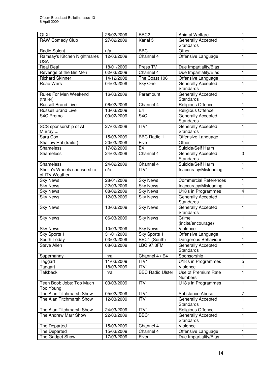| QI XL                                         | 28/02/2009 | BBC <sub>2</sub>        | <b>Animal Welfare</b>                         | 1                       |
|-----------------------------------------------|------------|-------------------------|-----------------------------------------------|-------------------------|
| RAW Comedy Club                               | 27/02/2009 | Kanal 5                 | <b>Generally Accepted</b><br><b>Standards</b> | 1                       |
| Radio Solent                                  | n/a        | <b>BBC</b>              | Other                                         | 1                       |
| Ramsay's Kitchen Nightmares<br><b>USA</b>     | 12/03/2009 | Channel 4               | Offensive Language                            | $\mathbf{1}$            |
| <b>Real Deal</b>                              | 18/01/2009 | Press TV                | Due Impartiality/Bias                         | 1                       |
| Revenge of the Bin Men                        | 02/03/2009 | Channel 4               | Due Impartiality/Bias                         | $\mathbf{1}$            |
| <b>Richard Skinner</b>                        | 14/12/2008 | The Coast 106           | Offensive Language                            | 1                       |
| Road Wars                                     | 04/03/2009 | Sky One                 | <b>Generally Accepted</b><br><b>Standards</b> | 1                       |
| Rules For Men Weekend<br>(trailer)            | 16/03/2009 | Paramount               | Generally Accepted<br><b>Standards</b>        | $\mathbf{1}$            |
| <b>Russell Brand Live</b>                     | 06/02/2009 | Channel 4               | Religious Offence                             | $\mathbf{1}$            |
| Russell Brand Live                            | 13/03/2009 | E4                      | Religious Offence                             | $\mathbf{1}$            |
| S4C Promo                                     | 09/02/2009 | S <sub>4</sub> C        | Generally Accepted<br><b>Standards</b>        | 1                       |
| SCS sponsorship of Al<br>Murray               | 27/02/2009 | ITV1                    | Generally Accepted<br><b>Standards</b>        | $\mathbf{1}$            |
| Sara Cox                                      | 15/03/2009 | <b>BBC Radio 1</b>      | Offensive Language                            | $\mathbf{1}$            |
| Shallow Hal (trailer)                         | 20/03/2009 | Five                    | Other                                         | $\mathbf{1}$            |
| <b>Shameless</b>                              | 17/02/2009 | E4                      | Suicide/Self Harm                             | $\mathbf{1}$            |
| <b>Shameless</b>                              | 24/02/2009 | Channel 4               | Generally Accepted<br><b>Standards</b>        | 3                       |
| <b>Shameless</b>                              | 24/02/2009 | Channel 4               | Suicide/Self Harm                             | 1                       |
| Sheila's Wheels sponsorship<br>of ITV Weather | n/a        | ITV1                    | Inaccuracy/Misleading                         | 1                       |
| <b>Sky News</b>                               | 28/01/2009 | <b>Sky News</b>         | <b>Commercial References</b>                  | $\mathbf{1}$            |
| <b>Sky News</b>                               | 22/03/2009 | <b>Sky News</b>         | Inaccuracy/Misleading                         | $\mathbf{1}$            |
| <b>Sky News</b>                               | 08/02/2009 | <b>Sky News</b>         | U18's in Programmes                           | $\overline{\mathbf{4}}$ |
| <b>Sky News</b>                               | 12/03/2009 | <b>Sky News</b>         | Generally Accepted<br><b>Standards</b>        | $\mathbf{1}$            |
| <b>Sky News</b>                               | 10/03/2009 | <b>Sky News</b>         | Generally Accepted<br><b>Standards</b>        | 1                       |
| <b>Sky News</b>                               | 06/03/2009 | <b>Sky News</b>         | Crime<br>(incite/encourage)                   | 1                       |
| <b>Sky News</b>                               | 10/03/2009 | <b>Sky News</b>         | Violence                                      | 1                       |
| Sky Sports 1                                  | 31/01/2009 | Sky Sports 1            | Offensive Language                            | 1                       |
| South Today                                   | 03/03/2009 | BBC1 (South)            | Dangerous Behaviour                           | 1                       |
| Steve Allen                                   | 08/03/2009 | <b>LBC 97.3FM</b>       | <b>Generally Accepted</b><br><b>Standards</b> | $\mathbf{1}$            |
| Supernanny                                    | n/a        | Channel 4 / E4          | Sponsorship                                   | 1                       |
| Taggart                                       | 11/03/2009 | ITV1                    | U18's in Programmes                           | 5                       |
| Taggart                                       | 18/03/2009 | ITVI                    | Violence                                      | $\mathbf{1}$            |
| <b>Talkback</b>                               | n/a        | <b>BBC Radio Ulster</b> | Use of Premium Rate<br><b>Numbers</b>         | 1                       |
| Teen Boob Jobs: Too Much<br>Too Young         | 03/03/2009 | ITVI                    | U18's in Programmes                           | $\mathbf{1}$            |
| The Alan Titchmarsh Show                      | 05/02/2009 | ITV1                    | Substance Abuse                               | $\overline{7}$          |
| The Alan Titchmarsh Show                      | 12/03/2009 | ITV1                    | <b>Generally Accepted</b><br>Standards        | 1                       |
| The Alan Titchmarsh Show                      | 24/03/2009 | ITV1                    | Religious Offence                             | 1                       |
| The Andrew Marr Show                          | 22/03/2009 | BBC1                    | <b>Generally Accepted</b><br>Standards        | $\mathbf{1}$            |
| The Departed                                  | 15/03/2009 | Channel 4               | Violence                                      | 1                       |
| The Departed                                  | 15/03/2009 | Channel 4               | Offensive Language                            | 1                       |
| The Gadget Show                               | 17/03/2009 | Fiver                   | Due Impartiality/Bias                         | $\mathbf{1}$            |